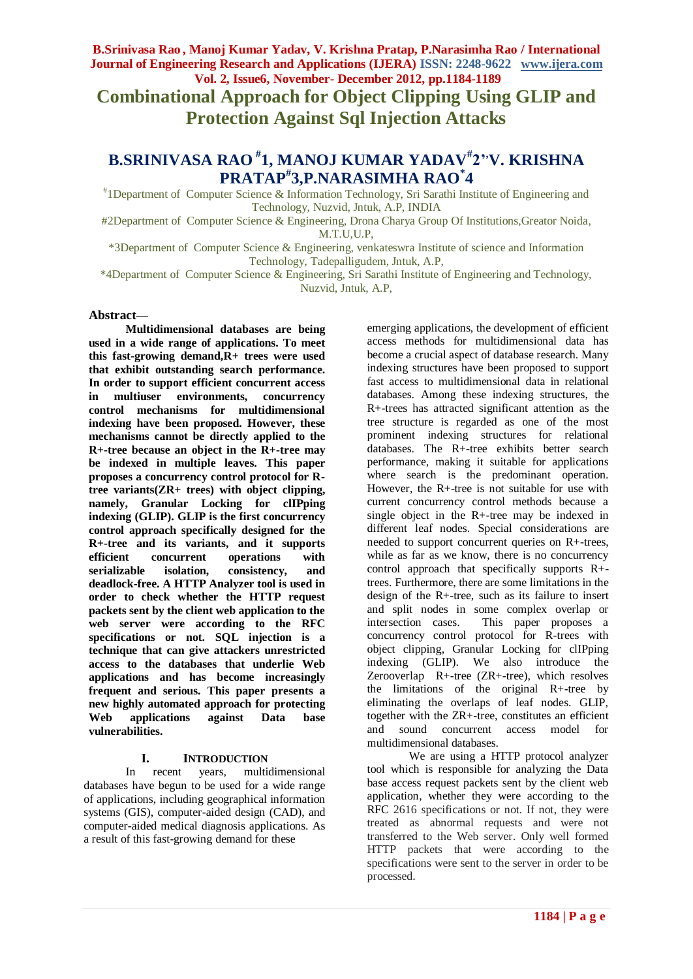**Combinational Approach for Object Clipping Using GLIP and Protection Against Sql Injection Attacks**

# **B.SRINIVASA RAO # 1, MANOJ KUMAR YADAV# 2',V. KRISHNA PRATAP# 3,P.NARASIMHA RAO\* 4**

# 1Department of Computer Science & Information Technology, Sri Sarathi Institute of Engineering and Technology, Nuzvid, Jntuk, A.P, INDIA

#2Department of Computer Science & Engineering, Drona Charya Group Of Institutions,Greator Noida, M.T.U,U.P,

\*3Department of Computer Science & Engineering, venkateswra Institute of science and Information Technology, Tadepalligudem, Jntuk, A.P,

\*4Department of Computer Science & Engineering, Sri Sarathi Institute of Engineering and Technology, Nuzvid, Jntuk, A.P,

#### **Abstract—**

**Multidimensional databases are being used in a wide range of applications. To meet this fast-growing demand,R+ trees were used that exhibit outstanding search performance. In order to support efficient concurrent access in multiuser environments, concurrency control mechanisms for multidimensional indexing have been proposed. However, these mechanisms cannot be directly applied to the R+-tree because an object in the R+-tree may be indexed in multiple leaves. This paper proposes a concurrency control protocol for Rtree variants(ZR+ trees) with object clipping, namely, Granular Locking for clIPping indexing (GLIP). GLIP is the first concurrency control approach specifically designed for the R+-tree and its variants, and it supports efficient concurrent operations with serializable isolation, consistency, and deadlock-free. A HTTP Analyzer tool is used in order to check whether the HTTP request packets sent by the client web application to the web server were according to the RFC specifications or not. SQL injection is a technique that can give attackers unrestricted access to the databases that underlie Web applications and has become increasingly frequent and serious. This paper presents a new highly automated approach for protecting Web applications against Data base vulnerabilities.**

#### **I. INTRODUCTION**

In recent years, multidimensional databases have begun to be used for a wide range of applications, including geographical information systems (GIS), computer-aided design (CAD), and computer-aided medical diagnosis applications. As a result of this fast-growing demand for these

emerging applications, the development of efficient access methods for multidimensional data has become a crucial aspect of database research. Many indexing structures have been proposed to support fast access to multidimensional data in relational databases. Among these indexing structures, the R+-trees has attracted significant attention as the tree structure is regarded as one of the most prominent indexing structures for relational databases. The R+-tree exhibits better search performance, making it suitable for applications where search is the predominant operation. However, the R+-tree is not suitable for use with current concurrency control methods because a single object in the R+-tree may be indexed in different leaf nodes. Special considerations are needed to support concurrent queries on R+-trees, while as far as we know, there is no concurrency control approach that specifically supports R+ trees. Furthermore, there are some limitations in the design of the R+-tree, such as its failure to insert and split nodes in some complex overlap or intersection cases. This paper proposes a concurrency control protocol for R-trees with object clipping, Granular Locking for clIPping indexing (GLIP). We also introduce the Zerooverlap R+-tree (ZR+-tree), which resolves the limitations of the original R+-tree by eliminating the overlaps of leaf nodes. GLIP, together with the ZR+-tree, constitutes an efficient and sound concurrent access model for multidimensional databases.

We are using a HTTP protocol analyzer tool which is responsible for analyzing the Data base access request packets sent by the client web application, whether they were according to the RFC 2616 specifications or not. If not, they were treated as abnormal requests and were not transferred to the Web server. Only well formed HTTP packets that were according to the specifications were sent to the server in order to be processed.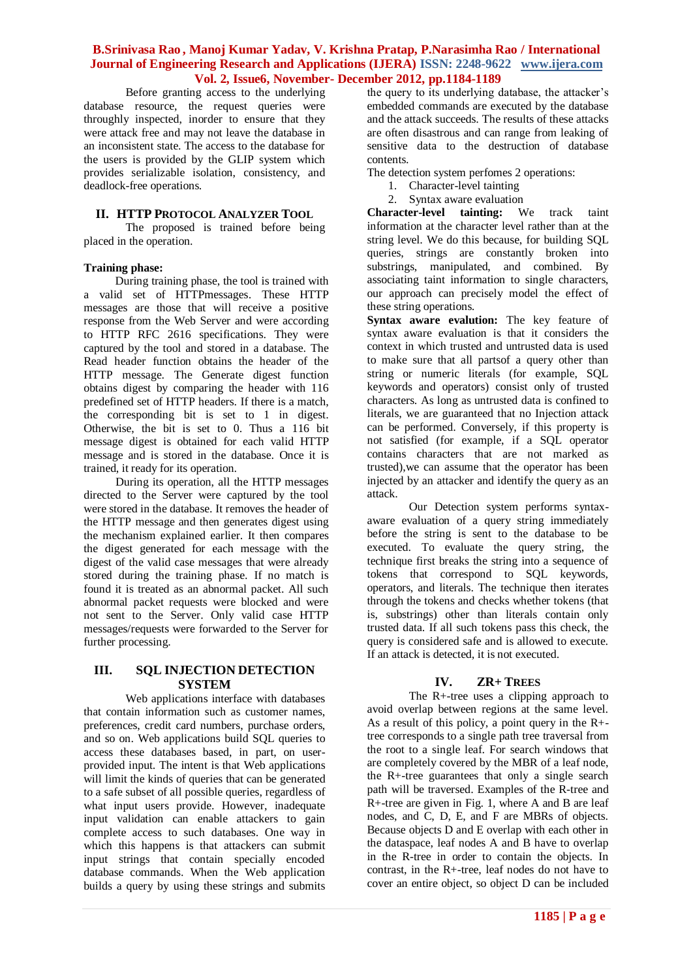Before granting access to the underlying database resource, the request queries were throughly inspected, inorder to ensure that they were attack free and may not leave the database in an inconsistent state. The access to the database for the users is provided by the GLIP system which provides serializable isolation, consistency, and deadlock-free operations.

# **II. HTTP PROTOCOL ANALYZER TOOL**

The proposed is trained before being placed in the operation.

#### **Training phase:**

During training phase, the tool is trained with a valid set of HTTPmessages. These HTTP messages are those that will receive a positive response from the Web Server and were according to HTTP RFC 2616 specifications. They were captured by the tool and stored in a database. The Read header function obtains the header of the HTTP message. The Generate digest function obtains digest by comparing the header with 116 predefined set of HTTP headers. If there is a match, the corresponding bit is set to 1 in digest. Otherwise, the bit is set to 0. Thus a 116 bit message digest is obtained for each valid HTTP message and is stored in the database. Once it is trained, it ready for its operation.

During its operation, all the HTTP messages directed to the Server were captured by the tool were stored in the database. It removes the header of the HTTP message and then generates digest using the mechanism explained earlier. It then compares the digest generated for each message with the digest of the valid case messages that were already stored during the training phase. If no match is found it is treated as an abnormal packet. All such abnormal packet requests were blocked and were not sent to the Server. Only valid case HTTP messages/requests were forwarded to the Server for further processing.

# **III. SQL INJECTION DETECTION SYSTEM**

Web applications interface with databases that contain information such as customer names, preferences, credit card numbers, purchase orders, and so on. Web applications build SQL queries to access these databases based, in part, on userprovided input. The intent is that Web applications will limit the kinds of queries that can be generated to a safe subset of all possible queries, regardless of what input users provide. However, inadequate input validation can enable attackers to gain complete access to such databases. One way in which this happens is that attackers can submit input strings that contain specially encoded database commands. When the Web application builds a query by using these strings and submits the query to its underlying database, the attacker's embedded commands are executed by the database and the attack succeeds. The results of these attacks are often disastrous and can range from leaking of sensitive data to the destruction of database contents.

The detection system perfomes 2 operations:

- 1. Character-level tainting
- 2. Syntax aware evaluation

**Character-level tainting:** We track taint information at the character level rather than at the string level. We do this because, for building SQL queries, strings are constantly broken into substrings, manipulated, and combined. By associating taint information to single characters, our approach can precisely model the effect of these string operations.

**Syntax aware evalution:** The key feature of syntax aware evaluation is that it considers the context in which trusted and untrusted data is used to make sure that all partsof a query other than string or numeric literals (for example, SQL keywords and operators) consist only of trusted characters. As long as untrusted data is confined to literals, we are guaranteed that no Injection attack can be performed. Conversely, if this property is not satisfied (for example, if a SQL operator contains characters that are not marked as trusted),we can assume that the operator has been injected by an attacker and identify the query as an attack.

Our Detection system performs syntaxaware evaluation of a query string immediately before the string is sent to the database to be executed. To evaluate the query string, the technique first breaks the string into a sequence of tokens that correspond to SQL keywords, operators, and literals. The technique then iterates through the tokens and checks whether tokens (that is, substrings) other than literals contain only trusted data. If all such tokens pass this check, the query is considered safe and is allowed to execute. If an attack is detected, it is not executed.

# **IV. ZR+ TREES**

The R+-tree uses a clipping approach to avoid overlap between regions at the same level. As a result of this policy, a point query in the R+ tree corresponds to a single path tree traversal from the root to a single leaf. For search windows that are completely covered by the MBR of a leaf node, the R+-tree guarantees that only a single search path will be traversed. Examples of the R-tree and R+-tree are given in Fig. 1, where A and B are leaf nodes, and C, D, E, and F are MBRs of objects. Because objects D and E overlap with each other in the dataspace, leaf nodes A and B have to overlap in the R-tree in order to contain the objects. In contrast, in the R+-tree, leaf nodes do not have to cover an entire object, so object D can be included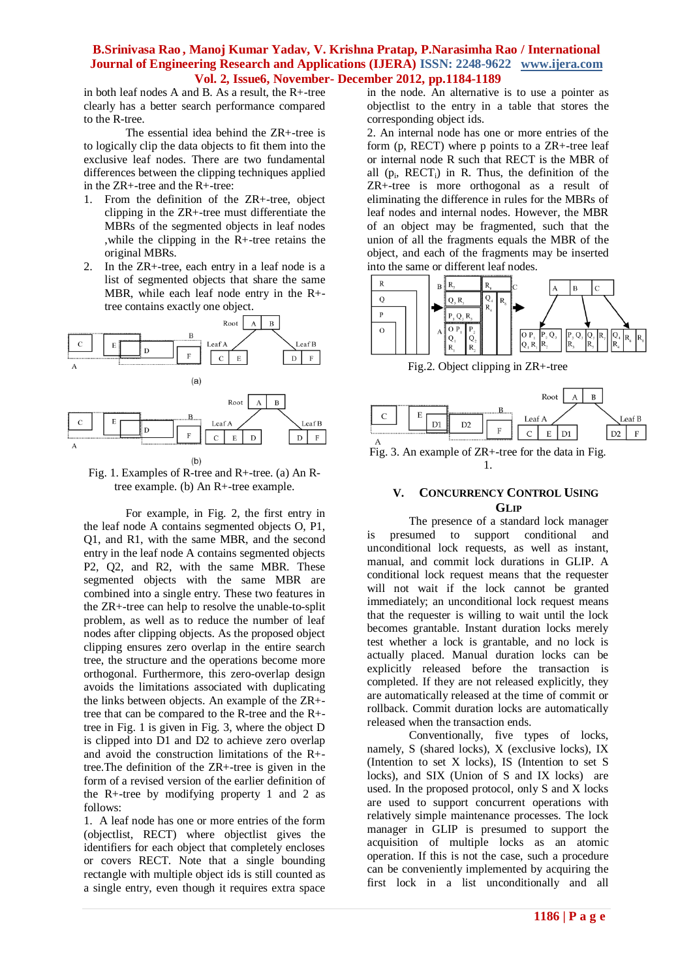in both leaf nodes A and B. As a result, the R+-tree clearly has a better search performance compared to the R-tree.

The essential idea behind the ZR+-tree is to logically clip the data objects to fit them into the exclusive leaf nodes. There are two fundamental differences between the clipping techniques applied in the ZR+-tree and the R+-tree:

- 1. From the definition of the ZR+-tree, object clipping in the ZR+-tree must differentiate the MBRs of the segmented objects in leaf nodes ,while the clipping in the R+-tree retains the original MBRs.
- 2. In the ZR+-tree, each entry in a leaf node is a list of segmented objects that share the same MBR, while each leaf node entry in the R+ tree contains exactly one object.



Fig. 1. Examples of R-tree and R+-tree. (a) An Rtree example. (b) An R+-tree example.

For example, in Fig. 2, the first entry in the leaf node A contains segmented objects O, P1, Q1, and R1, with the same MBR, and the second entry in the leaf node A contains segmented objects P2, Q2, and R2, with the same MBR. These segmented objects with the same MBR are combined into a single entry. These two features in the ZR+-tree can help to resolve the unable-to-split problem, as well as to reduce the number of leaf nodes after clipping objects. As the proposed object clipping ensures zero overlap in the entire search tree, the structure and the operations become more orthogonal. Furthermore, this zero-overlap design avoids the limitations associated with duplicating the links between objects. An example of the ZR+ tree that can be compared to the R-tree and the R+ tree in Fig. 1 is given in Fig. 3, where the object D is clipped into D1 and D2 to achieve zero overlap and avoid the construction limitations of the R+ tree.The definition of the ZR+-tree is given in the form of a revised version of the earlier definition of the R+-tree by modifying property 1 and 2 as follows:

1. A leaf node has one or more entries of the form (objectlist, RECT) where objectlist gives the identifiers for each object that completely encloses or covers RECT. Note that a single bounding rectangle with multiple object ids is still counted as a single entry, even though it requires extra space

in the node. An alternative is to use a pointer as objectlist to the entry in a table that stores the corresponding object ids.

2. An internal node has one or more entries of the form (p, RECT) where p points to a ZR+-tree leaf or internal node R such that RECT is the MBR of all  $(p_i, RECT_i)$  in R. Thus, the definition of the ZR+-tree is more orthogonal as a result of eliminating the difference in rules for the MBRs of leaf nodes and internal nodes. However, the MBR of an object may be fragmented, such that the union of all the fragments equals the MBR of the object, and each of the fragments may be inserted into the same or different leaf nodes.



Fig.2. Object clipping in ZR+-tree



Fig. 3. An example of ZR+-tree for the data in Fig. 1.

#### **V. CONCURRENCY CONTROL USING GLIP**

The presence of a standard lock manager is presumed to support conditional and unconditional lock requests, as well as instant, manual, and commit lock durations in GLIP. A conditional lock request means that the requester will not wait if the lock cannot be granted immediately; an unconditional lock request means that the requester is willing to wait until the lock becomes grantable. Instant duration locks merely test whether a lock is grantable, and no lock is actually placed. Manual duration locks can be explicitly released before the transaction is completed. If they are not released explicitly, they are automatically released at the time of commit or rollback. Commit duration locks are automatically released when the transaction ends.

Conventionally, five types of locks, namely, S (shared locks), X (exclusive locks), IX (Intention to set X locks), IS (Intention to set S locks), and SIX (Union of S and IX locks) are used. In the proposed protocol, only S and X locks are used to support concurrent operations with relatively simple maintenance processes. The lock manager in GLIP is presumed to support the acquisition of multiple locks as an atomic operation. If this is not the case, such a procedure can be conveniently implemented by acquiring the first lock in a list unconditionally and all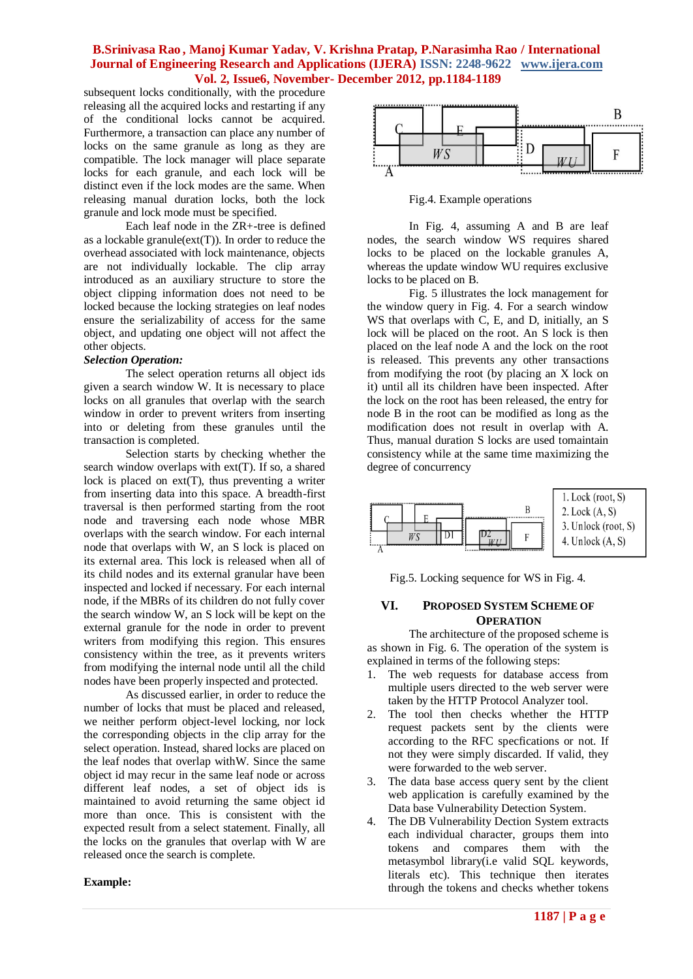subsequent locks conditionally, with the procedure releasing all the acquired locks and restarting if any of the conditional locks cannot be acquired. Furthermore, a transaction can place any number of locks on the same granule as long as they are compatible. The lock manager will place separate locks for each granule, and each lock will be distinct even if the lock modes are the same. When releasing manual duration locks, both the lock granule and lock mode must be specified.

Each leaf node in the ZR+-tree is defined as a lockable granule $text{ext}(T)$ ). In order to reduce the overhead associated with lock maintenance, objects are not individually lockable. The clip array introduced as an auxiliary structure to store the object clipping information does not need to be locked because the locking strategies on leaf nodes ensure the serializability of access for the same object, and updating one object will not affect the other objects.

#### *Selection Operation:*

The select operation returns all object ids given a search window W. It is necessary to place locks on all granules that overlap with the search window in order to prevent writers from inserting into or deleting from these granules until the transaction is completed.

Selection starts by checking whether the search window overlaps with ext(T). If so, a shared lock is placed on  $ext(T)$ , thus preventing a writer from inserting data into this space. A breadth-first traversal is then performed starting from the root node and traversing each node whose MBR overlaps with the search window. For each internal node that overlaps with W, an S lock is placed on its external area. This lock is released when all of its child nodes and its external granular have been inspected and locked if necessary. For each internal node, if the MBRs of its children do not fully cover the search window W, an S lock will be kept on the external granule for the node in order to prevent writers from modifying this region. This ensures consistency within the tree, as it prevents writers from modifying the internal node until all the child nodes have been properly inspected and protected.

As discussed earlier, in order to reduce the number of locks that must be placed and released, we neither perform object-level locking, nor lock the corresponding objects in the clip array for the select operation. Instead, shared locks are placed on the leaf nodes that overlap withW. Since the same object id may recur in the same leaf node or across different leaf nodes, a set of object ids is maintained to avoid returning the same object id more than once. This is consistent with the expected result from a select statement. Finally, all the locks on the granules that overlap with W are released once the search is complete.

#### **Example:**



Fig.4. Example operations

In Fig. 4, assuming A and B are leaf nodes, the search window WS requires shared locks to be placed on the lockable granules A, whereas the update window WU requires exclusive locks to be placed on B.

Fig. 5 illustrates the lock management for the window query in Fig. 4. For a search window WS that overlaps with C, E, and D, initially, an S lock will be placed on the root. An S lock is then placed on the leaf node A and the lock on the root is released. This prevents any other transactions from modifying the root (by placing an X lock on it) until all its children have been inspected. After the lock on the root has been released, the entry for node B in the root can be modified as long as the modification does not result in overlap with A. Thus, manual duration S locks are used tomaintain consistency while at the same time maximizing the degree of concurrency



Fig.5. Locking sequence for WS in Fig. 4.

# **VI. PROPOSED SYSTEM SCHEME OF OPERATION**

The architecture of the proposed scheme is as shown in Fig. 6. The operation of the system is explained in terms of the following steps:

- 1. The web requests for database access from multiple users directed to the web server were taken by the HTTP Protocol Analyzer tool.
- 2. The tool then checks whether the HTTP request packets sent by the clients were according to the RFC specfications or not. If not they were simply discarded. If valid, they were forwarded to the web server.
- 3. The data base access query sent by the client web application is carefully examined by the Data base Vulnerability Detection System.
- 4. The DB Vulnerability Dection System extracts each individual character, groups them into tokens and compares them with the metasymbol library(i.e valid SQL keywords, literals etc). This technique then iterates through the tokens and checks whether tokens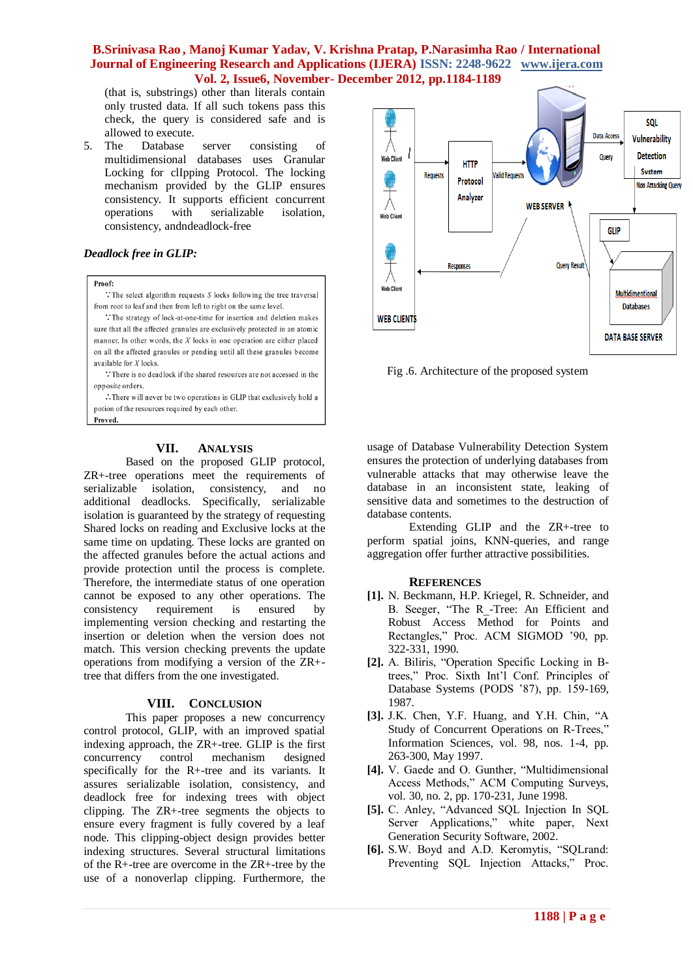(that is, substrings) other than literals contain only trusted data. If all such tokens pass this check, the query is considered safe and is allowed to execute.

5. The Database server consisting of multidimensional databases uses Granular Locking for clIpping Protocol. The locking mechanism provided by the GLIP ensures consistency. It supports efficient concurrent operations with serializable isolation, consistency, andndeadlock-free

# *Deadlock free in GLIP:*

Proof:

 $\therefore$  The select algorithm requests S locks following the tree traversal from root to leaf and then from left to right on the same level.

: The strategy of lock-at-one-time for insertion and deletion makes sure that all the affected granules are exclusively protected in an atomic manner. In other words, the  $X$  locks in one operation are either placed on all the affected granules or pending until all these granules become available for  $X$  locks.

 $\therefore$  There is no deadlock if the shared resources are not accessed in the opposite orders.

 $\therefore$  There will never be two operations in GLIP that exclusively hold a potion of the resources required by each other. Proved.

#### **VII. ANALYSIS**

Based on the proposed GLIP protocol, ZR+-tree operations meet the requirements of serializable isolation, consistency, and no additional deadlocks. Specifically, serializable isolation is guaranteed by the strategy of requesting Shared locks on reading and Exclusive locks at the same time on updating. These locks are granted on the affected granules before the actual actions and provide protection until the process is complete. Therefore, the intermediate status of one operation cannot be exposed to any other operations. The consistency requirement is ensured by implementing version checking and restarting the insertion or deletion when the version does not match. This version checking prevents the update operations from modifying a version of the ZR+ tree that differs from the one investigated.

#### **VIII. CONCLUSION**

This paper proposes a new concurrency control protocol, GLIP, with an improved spatial indexing approach, the ZR+-tree. GLIP is the first concurrency control mechanism designed specifically for the R+-tree and its variants. It assures serializable isolation, consistency, and deadlock free for indexing trees with object clipping. The ZR+-tree segments the objects to ensure every fragment is fully covered by a leaf node. This clipping-object design provides better indexing structures. Several structural limitations of the R+-tree are overcome in the ZR+-tree by the use of a nonoverlap clipping. Furthermore, the



Fig .6. Architecture of the proposed system

usage of Database Vulnerability Detection System ensures the protection of underlying databases from vulnerable attacks that may otherwise leave the database in an inconsistent state, leaking of sensitive data and sometimes to the destruction of database contents.

Extending GLIP and the ZR+-tree to perform spatial joins, KNN-queries, and range aggregation offer further attractive possibilities.

# **REFERENCES**

- **[1].** N. Beckmann, H.P. Kriegel, R. Schneider, and B. Seeger, "The R\_-Tree: An Efficient and Robust Access Method for Points and Rectangles," Proc. ACM SIGMOD '90, pp. 322-331, 1990.
- **[2].** A. Biliris, "Operation Specific Locking in Btrees," Proc. Sixth Int'l Conf. Principles of Database Systems (PODS '87), pp. 159-169, 1987.
- **[3].** J.K. Chen, Y.F. Huang, and Y.H. Chin, "A Study of Concurrent Operations on R-Trees," Information Sciences, vol. 98, nos. 1-4, pp. 263-300, May 1997.
- **[4].** V. Gaede and O. Gunther, "Multidimensional Access Methods," ACM Computing Surveys, vol. 30, no. 2, pp. 170-231, June 1998.
- **[5].** C. Anley, "Advanced SQL Injection In SQL Server Applications," white paper, Next Generation Security Software, 2002.
- **[6].** S.W. Boyd and A.D. Keromytis, "SQLrand: Preventing SQL Injection Attacks," Proc.